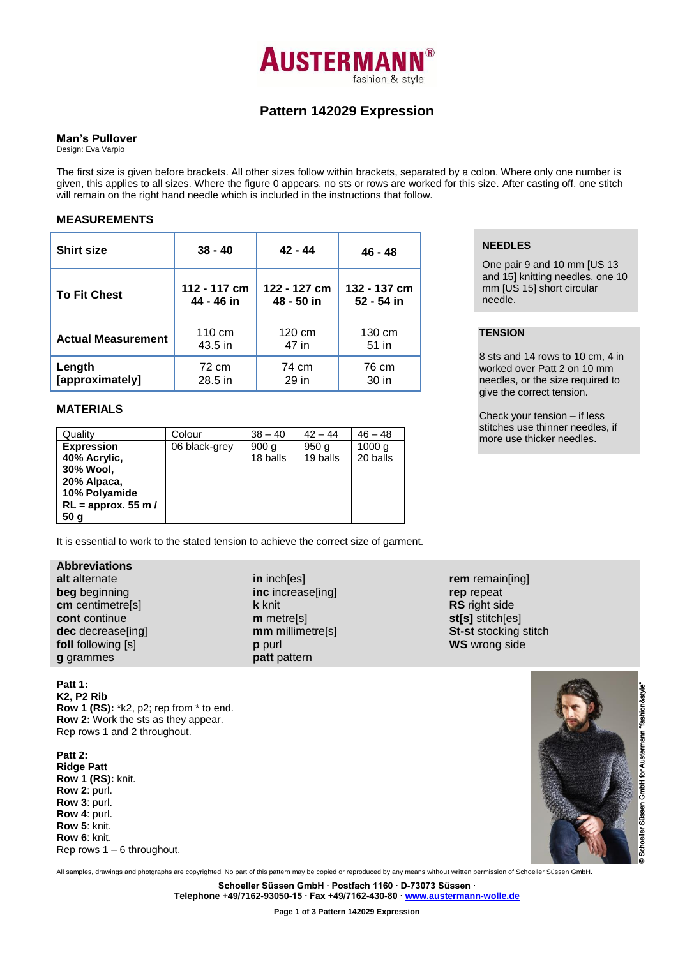

# **Pattern 142029 Expression**

## **Man's Pullover**

Design: Eva Varpio

The first size is given before brackets. All other sizes follow within brackets, separated by a colon. Where only one number is given, this applies to all sizes. Where the figure 0 appears, no sts or rows are worked for this size. After casting off, one stitch will remain on the right hand needle which is included in the instructions that follow.

## **MEASUREMENTS**

| <b>Shirt size</b>         | $38 - 40$    | $42 - 44$    | 46 - 48      |  |
|---------------------------|--------------|--------------|--------------|--|
| <b>To Fit Chest</b>       | 112 - 117 cm | 122 - 127 cm | 132 - 137 cm |  |
|                           | 44 - 46 in   | 48 - 50 in   | 52 - 54 in   |  |
| <b>Actual Measurement</b> | 110 cm       | 120 cm       | 130 cm       |  |
|                           | 43.5 in      | 47 in        | 51 in        |  |
| Length                    | 72 cm        | 74 cm        | 76 cm        |  |
| [approximately]           | 28.5 in      | 29 in        | 30 in        |  |

## **MATERIALS**

| Quality               | Colour        | $38 - 40$ | $42 - 44$ | $46 - 48$ |
|-----------------------|---------------|-----------|-----------|-----------|
| <b>Expression</b>     | 06 black-grey | 900q      | 950q      | 1000 g    |
| 40% Acrylic,          |               | 18 balls  | 19 balls  | 20 balls  |
| 30% Wool,             |               |           |           |           |
| 20% Alpaca,           |               |           |           |           |
| 10% Polyamide         |               |           |           |           |
| $RL =$ approx. 55 m / |               |           |           |           |
| 50 <sub>g</sub>       |               |           |           |           |

It is essential to work to the stated tension to achieve the correct size of garment.

# **Abbreviations**

**alt** alternate **beg** beginning **cm** centimetre[s] **cont** continue **dec** decrease[ing] **foll** following [s] **g** grammes

**Patt 1: K2, P2 Rib Row 1 (RS):** \*k2, p2; rep from \* to end. **Row 2:** Work the sts as they appear. Rep rows 1 and 2 throughout.

**Patt 2: Ridge Patt Row 1 (RS):** knit. **Row 2**: purl. **Row 3**: purl. **Row 4**: purl. **Row 5**: knit. **Row 6**: knit. Rep rows 1 – 6 throughout. **in** inch[es] **inc** increase[ing] **k** knit **m** metre[s] **mm** millimetre[s] **p** purl **patt** pattern

**rem** remain[ing] **rep** repeat **RS** right side **st[s]** stitch[es] **St-st** stocking stitch **WS** wrong side



# **NEEDLES**

One pair 9 and 10 mm [US 13 and 15] knitting needles, one 10 mm [US 15] short circular needle.

## **TENSION**

8 sts and 14 rows to 10 cm, 4 in worked over Patt 2 on 10 mm needles, or the size required to give the correct tension.

Check your tension – if less stitches use thinner needles, if more use thicker needles.

All samples, drawings and photgraphs are copyrighted. No part of this pattern may be copied or reproduced by any means without written permission of Schoeller Süssen GmbH.

**Schoeller Süssen GmbH ∙ Postfach 1160 ∙ D-73073 Süssen ∙**

**Telephone +49/7162-93050-15 ∙ Fax +49/7162-430-80 ∙ [www.austermann-wolle.de](http://www.austermann-wolle.de/)**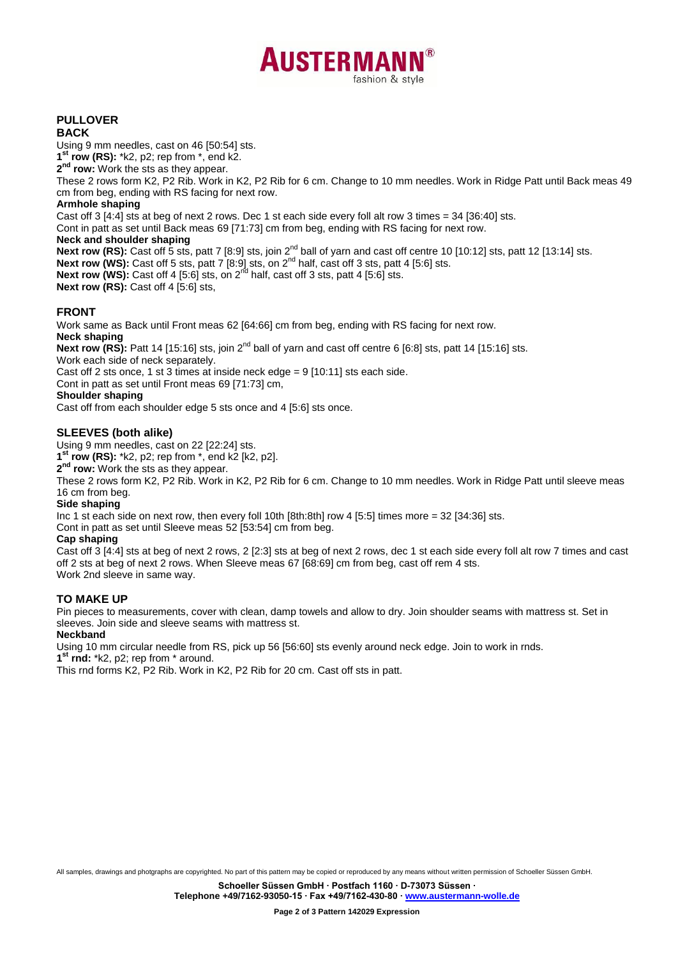

# **PULLOVER**

## **BACK**

Using 9 mm needles, cast on 46 [50:54] sts.

**1 st row (RS):** \*k2, p2; rep from \*, end k2.

**2 nd row:** Work the sts as they appear.

These 2 rows form K2, P2 Rib. Work in K2, P2 Rib for 6 cm. Change to 10 mm needles. Work in Ridge Patt until Back meas 49 cm from beg, ending with RS facing for next row.

## **Armhole shaping**

Cast off 3 [4:4] sts at beg of next 2 rows. Dec 1 st each side every foll alt row 3 times = 34 [36:40] sts.

Cont in patt as set until Back meas 69 [71:73] cm from beg, ending with RS facing for next row.

## **Neck and shoulder shaping**

Next row (RS): Cast off 5 sts, patt 7 [8:9] sts, join 2<sup>nd</sup> ball of yarn and cast off centre 10 [10:12] sts, patt 12 [13:14] sts. **Next row (WS):** Cast off 5 sts, patt 7 [8:9] sts, on 2nd half, cast off 3 sts, patt 4 [5:6] sts. Next row (WS): Cast off 4 [5:6] sts, on 2<sup>nd</sup> half, cast off 3 sts, patt 4 [5:6] sts. **Next row (RS): Cast off 4 [5:6] sts,** 

**FRONT**

Work same as Back until Front meas 62 [64:66] cm from beg, ending with RS facing for next row.

## **Neck shaping**

**Next row (RS):** Patt 14 [15:16] sts, join 2<sup>nd</sup> ball of varn and cast off centre 6 [6:8] sts, patt 14 [15:16] sts. Work each side of neck separately.

Cast off 2 sts once, 1 st 3 times at inside neck edge = 9 [10:11] sts each side.

Cont in patt as set until Front meas 69 [71:73] cm,

**Shoulder shaping**

Cast off from each shoulder edge 5 sts once and 4 [5:6] sts once.

## **SLEEVES (both alike)**

Using 9 mm needles, cast on 22 [22:24] sts.

**1 st row (RS):** \*k2, p2; rep from \*, end k2 [k2, p2].

**2 nd row:** Work the sts as they appear.

These 2 rows form K2, P2 Rib. Work in K2, P2 Rib for 6 cm. Change to 10 mm needles. Work in Ridge Patt until sleeve meas 16 cm from beg.

## **Side shaping**

Inc 1 st each side on next row, then every foll 10th [8th:8th] row 4 [5:5] times more = 32 [34:36] sts.

Cont in patt as set until Sleeve meas 52 [53:54] cm from beg.

## **Cap shaping**

Cast off 3 [4:4] sts at beg of next 2 rows, 2 [2:3] sts at beg of next 2 rows, dec 1 st each side every foll alt row 7 times and cast off 2 sts at beg of next 2 rows. When Sleeve meas 67 [68:69] cm from beg, cast off rem 4 sts. Work 2nd sleeve in same way.

## **TO MAKE UP**

Pin pieces to measurements, cover with clean, damp towels and allow to dry. Join shoulder seams with mattress st. Set in sleeves. Join side and sleeve seams with mattress st.

## **Neckband**

Using 10 mm circular needle from RS, pick up 56 [56:60] sts evenly around neck edge. Join to work in rnds.

**1 st rnd:** \*k2, p2; rep from \* around.

This rnd forms K2, P2 Rib. Work in K2, P2 Rib for 20 cm. Cast off sts in patt.